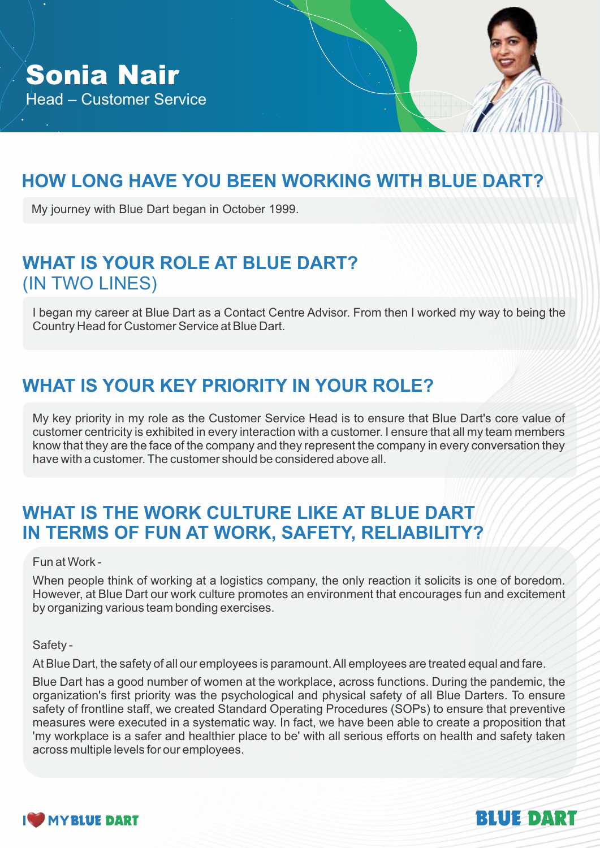# **HOW LONG HAVE YOU BEEN WORKING WITH BLUE DART?**

My journey with Blue Dart began in October 1999.

# **WHAT IS YOUR ROLE AT BLUE DART?** (IN TWO LINES)

I began my career at Blue Dart as a Contact Centre Advisor. From then I worked my way to being the Country Head for Customer Service at Blue Dart.

# **WHAT IS YOUR KEY PRIORITY IN YOUR ROLE?**

My key priority in my role as the Customer Service Head is to ensure that Blue Dart's core value of customer centricity is exhibited in every interaction with a customer. I ensure that all my team members know that they are the face of the company and they represent the company in every conversation they have with a customer. The customer should be considered above all.

## WHAT IS THE WORK CULTURE LIKE AT BLUE DART **IN TERMS OF FUN AT WORK, SAFETY, RELIABILITY?**

#### Fun at Work -

When people think of working at a logistics company, the only reaction it solicits is one of boredom. However, at Blue Dart our work culture promotes an environment that encourages fun and excitement by organizing various team bonding exercises.

Safety -

At Blue Dart, the safety of all our employees is paramount. All employees are treated equal and fare.

Blue Dart has a good number of women at the workplace, across functions. During the pandemic, the organization's first priority was the psychological and physical safety of all Blue Darters. To ensure safety of frontline staff, we created Standard Operating Procedures (SOPs) to ensure that preventive measures were executed in a systematic way. In fact, we have been able to create a proposition that 'my workplace is a safer and healthier place to be' with all serious efforts on health and safety taken across multiple levels for our employees.



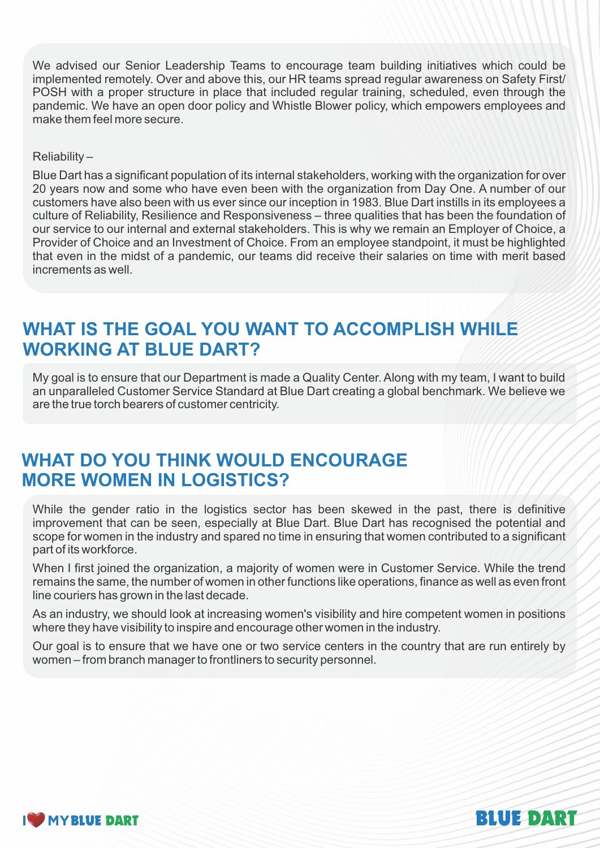We advised our Senior Leadership Teams to encourage team building initiatives which could be implemented remotely. Over and above this, our HR teams spread regular awareness on Safety First/ POSH with a proper structure in place that included regular training, scheduled, even through the pandemic. We have an open door policy and Whistle Blower policy, which empowers employees and make them feel more secure.

#### Reliability –

Blue Dart has a significant population of its internal stakeholders, working with the organization for over 20 years now and some who have even been with the organization from Day One. A number of our customers have also been with us ever since our inception in 1983. Blue Dart instills in its employees a culture of Reliability, Resilience and Responsiveness – three qualities that has been the foundation of our service to our internal and external stakeholders. This is why we remain an Employer of Choice, a Provider of Choice and an Investment of Choice. From an employee standpoint, it must be highlighted that even in the midst of a pandemic, our teams did receive their salaries on time with merit based increments as well.

# **WHAT IS THE GOAL YOU WANT TO ACCOMPLISH WHILE WORKING AT BLUE DART?**

My goal is to ensure that our Department is made a Quality Center. Along with my team, I want to build an unparalleled Customer Service Standard at Blue Dart creating a global benchmark. We believe we are the true torch bearers of customer centricity.

### **WHAT DO YOU THINK WOULD ENCOURAGE MORE WOMEN IN LOGISTICS?**

While the gender ratio in the logistics sector has been skewed in the past, there is definitive improvement that can be seen, especially at Blue Dart. Blue Dart has recognised the potential and scope for women in the industry and spared no time in ensuring that women contributed to a significant part of its workforce.

When I first joined the organization, a majority of women were in Customer Service. While the trend remains the same, the number of women in other functions like operations, finance as well as even front line couriers has grown in the last decade.

As an industry, we should look at increasing women's visibility and hire competent women in positions where they have visibility to inspire and encourage other women in the industry.

Our goal is to ensure that we have one or two service centers in the country that are run entirely by women – from branch manager to frontliners to security personnel.



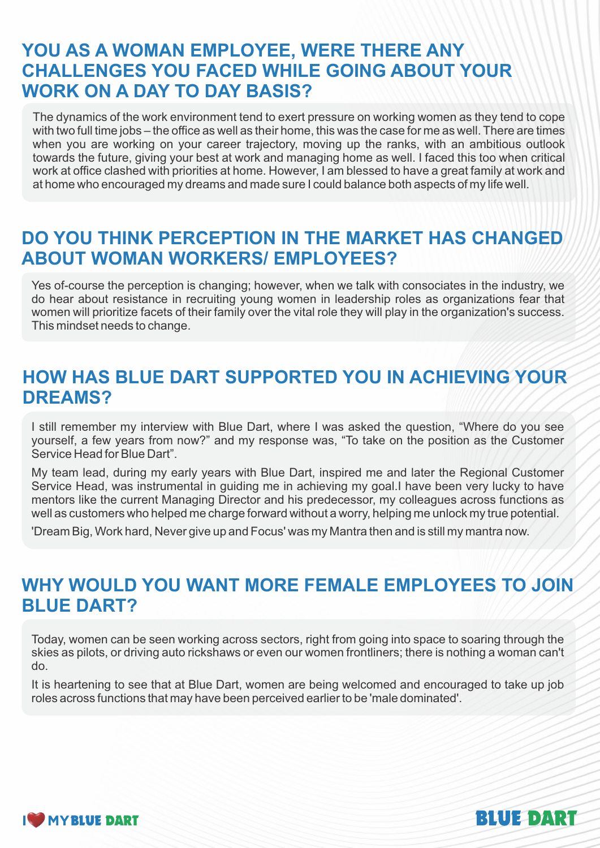## **YOU AS A WOMAN EMPLOYEE, WERE THERE ANY CHALLENGES YOU FACED WHILE GOING ABOUT YOUR WORK ON A DAY TO DAY BASIS?**

The dynamics of the work environment tend to exert pressure on working women as they tend to cope with two full time jobs – the office as well as their home, this was the case for me as well. There are times when you are working on your career trajectory, moving up the ranks, with an ambitious outlook towards the future, giving your best at work and managing home as well. I faced this too when critical work at office clashed with priorities at home. However, I am blessed to have a great family at work and at home who encouraged my dreams and made sure I could balance both aspects of my life well.

### **DO YOU THINK PERCEPTION IN THE MARKET HAS CHANGED ABOUT WOMAN WORKERS/ EMPLOYEES?**

Yes of-course the perception is changing; however, when we talk with consociates in the industry, we do hear about resistance in recruiting young women in leadership roles as organizations fear that women will prioritize facets of their family over the vital role they will play in the organization's success. This mindset needs to change.

## **HOW HAS BLUE DART SUPPORTED YOU IN ACHIEVING YOUR DREAMS?**

I still remember my interview with Blue Dart, where I was asked the question, "Where do you see yourself, a few years from now?" and my response was, "To take on the position as the Customer Service Head for Blue Dart".

My team lead, during my early years with Blue Dart, inspired me and later the Regional Customer Service Head, was instrumental in guiding me in achieving my goal.I have been very lucky to have mentors like the current Managing Director and his predecessor, my colleagues across functions as well as customers who helped me charge forward without a worry, helping me unlock my true potential.

'Dream Big, Work hard, Never give up and Focus' was my Mantra then and is still my mantra now.

# **WHY WOULD YOU WANT MORE FEMALE EMPLOYEES TO JOIN BLUE DART?**

Today, women can be seen working across sectors, right from going into space to soaring through the skies as pilots, or driving auto rickshaws or even our women frontliners; there is nothing a woman can't do.

It is heartening to see that at Blue Dart, women are being welcomed and encouraged to take up job roles across functions that may have been perceived earlier to be 'male dominated'.